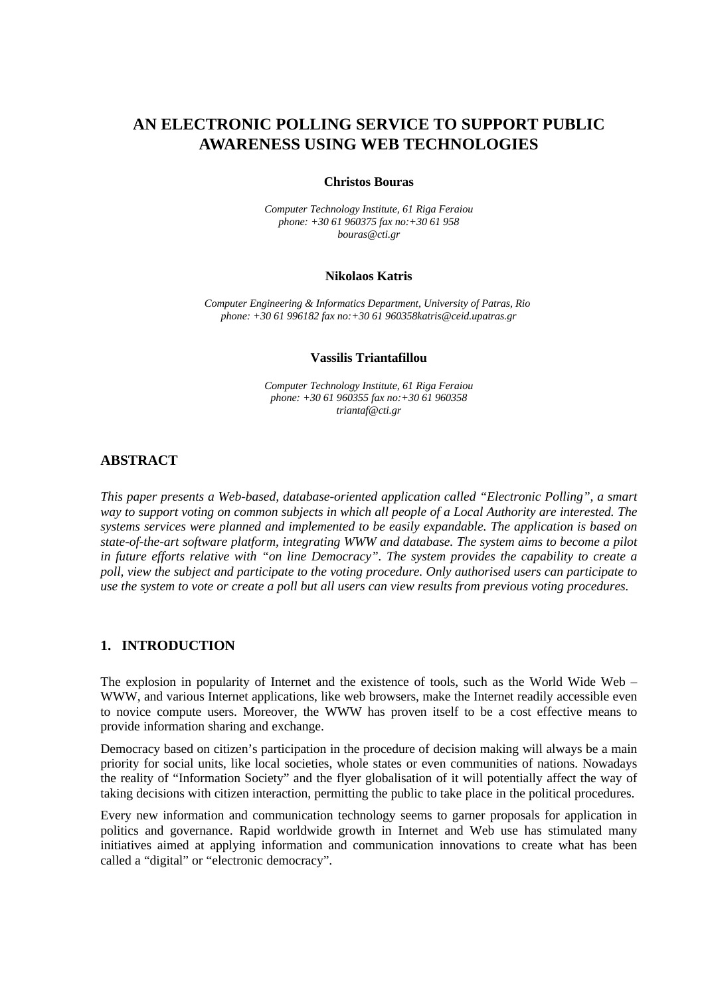# **AN ELECTRONIC POLLING SERVICE TO SUPPORT PUBLIC AWARENESS USING WEB TECHNOLOGIES**

#### **Christos Bouras**

*Computer Technology Institute, 61 Riga Feraiou phone: +30 61 960375 fax no:+30 61 958 bouras@cti.gr*

#### **Nikolaos Katris**

*Computer Engineering & Informatics Department, University of Patras, Rio phone: +30 61 996182 fax no:+30 61 960358katris@ceid.upatras.gr*

#### **Vassilis Triantafillou**

*Computer Technology Institute, 61 Riga Feraiou phone: +30 61 960355 fax no:+30 61 960358 triantaf@cti.gr*

### **ABSTRACT**

*This paper presents a Web-based, database-oriented application called "Electronic Polling", a smart way to support voting on common subjects in which all people of a Local Authority are interested. The systems services were planned and implemented to be easily expandable. The application is based on state-of-the-art software platform, integrating WWW and database. The system aims to become a pilot in future efforts relative with "on line Democracy". The system provides the capability to create a poll, view the subject and participate to the voting procedure. Only authorised users can participate to use the system to vote or create a poll but all users can view results from previous voting procedures.*

#### **1. INTRODUCTION**

The explosion in popularity of Internet and the existence of tools, such as the World Wide Web – WWW, and various Internet applications, like web browsers, make the Internet readily accessible even to novice compute users. Moreover, the WWW has proven itself to be a cost effective means to provide information sharing and exchange.

Democracy based on citizen's participation in the procedure of decision making will always be a main priority for social units, like local societies, whole states or even communities of nations. Nowadays the reality of "Information Society" and the flyer globalisation of it will potentially affect the way of taking decisions with citizen interaction, permitting the public to take place in the political procedures.

Every new information and communication technology seems to garner proposals for application in politics and governance. Rapid worldwide growth in Internet and Web use has stimulated many initiatives aimed at applying information and communication innovations to create what has been called a "digital" or "electronic democracy".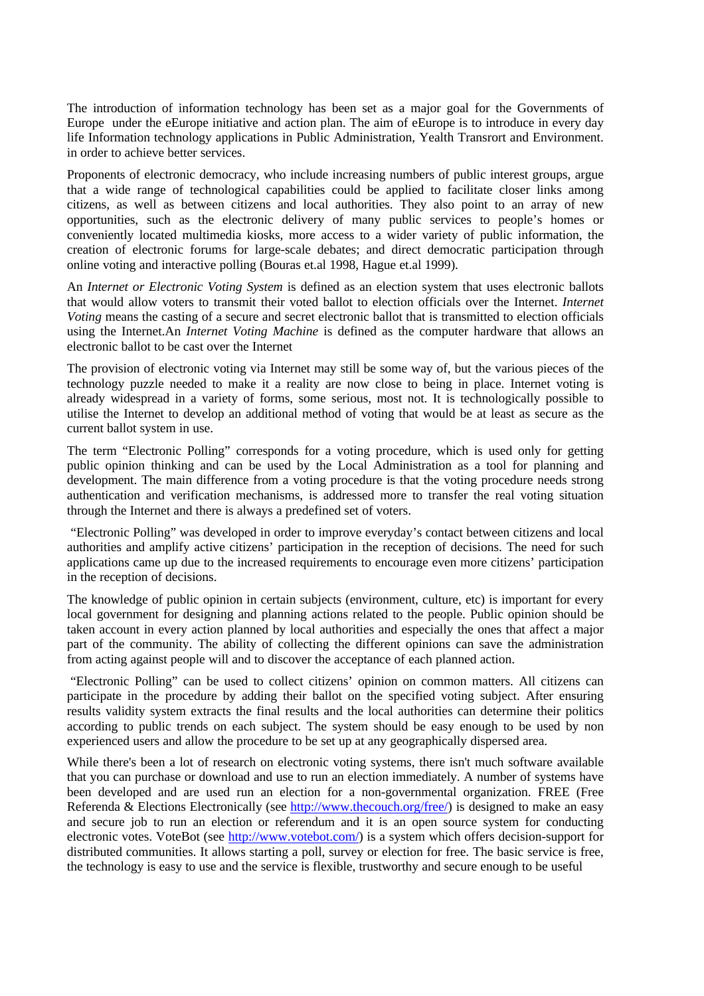The introduction of information technology has been set as a major goal for the Governments of Europe under the eEurope initiative and action plan. The aim of eEurope is to introduce in every day life Information technology applications in Public Administration, Yealth Transrort and Environment. in order to achieve better services.

Proponents of electronic democracy, who include increasing numbers of public interest groups, argue that a wide range of technological capabilities could be applied to facilitate closer links among citizens, as well as between citizens and local authorities. They also point to an array of new opportunities, such as the electronic delivery of many public services to people's homes or conveniently located multimedia kiosks, more access to a wider variety of public information, the creation of electronic forums for large-scale debates; and direct democratic participation through online voting and interactive polling (Bouras et.al 1998, Hague et.al 1999).

An *Internet or Electronic Voting System* is defined as an election system that uses electronic ballots that would allow voters to transmit their voted ballot to election officials over the Internet. *Internet Voting* means the casting of a secure and secret electronic ballot that is transmitted to election officials using the Internet.An *Internet Voting Machine* is defined as the computer hardware that allows an electronic ballot to be cast over the Internet

The provision of electronic voting via Internet may still be some way of, but the various pieces of the technology puzzle needed to make it a reality are now close to being in place. Internet voting is already widespread in a variety of forms, some serious, most not. It is technologically possible to utilise the Internet to develop an additional method of voting that would be at least as secure as the current ballot system in use.

The term "Electronic Polling" corresponds for a voting procedure, which is used only for getting public opinion thinking and can be used by the Local Administration as a tool for planning and development. The main difference from a voting procedure is that the voting procedure needs strong authentication and verification mechanisms, is addressed more to transfer the real voting situation through the Internet and there is always a predefined set of voters.

 "Electronic Polling" was developed in order to improve everyday's contact between citizens and local authorities and amplify active citizens' participation in the reception of decisions. The need for such applications came up due to the increased requirements to encourage even more citizens' participation in the reception of decisions.

The knowledge of public opinion in certain subjects (environment, culture, etc) is important for every local government for designing and planning actions related to the people. Public opinion should be taken account in every action planned by local authorities and especially the ones that affect a major part of the community. The ability of collecting the different opinions can save the administration from acting against people will and to discover the acceptance of each planned action.

 "Electronic Polling" can be used to collect citizens' opinion on common matters. All citizens can participate in the procedure by adding their ballot on the specified voting subject. After ensuring results validity system extracts the final results and the local authorities can determine their politics according to public trends on each subject. The system should be easy enough to be used by non experienced users and allow the procedure to be set up at any geographically dispersed area.

While there's been a lot of research on electronic voting systems, there isn't much software available that you can purchase or download and use to run an election immediately. A number of systems have been developed and are used run an election for a non-governmental organization. FREE (Free Referenda & Elections Electronically (see http://www.thecouch.org/free/) is designed to make an easy and secure job to run an election or referendum and it is an open source system for conducting electronic votes. VoteBot (see http://www.votebot.com/) is a system which offers decision-support for distributed communities. It allows starting a poll, survey or election for free. The basic service is free, the technology is easy to use and the service is flexible, trustworthy and secure enough to be useful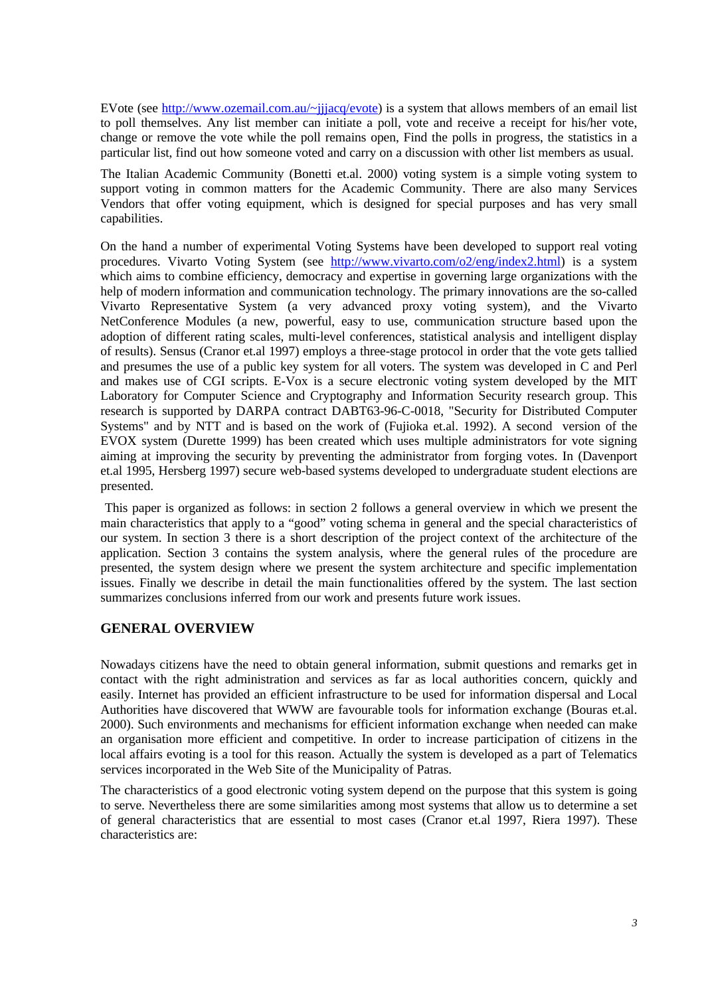EVote (see http://www.ozemail.com.au/~jjjacq/evote) is a system that allows members of an email list to poll themselves. Any list member can initiate a poll, vote and receive a receipt for his/her vote, change or remove the vote while the poll remains open, Find the polls in progress, the statistics in a particular list, find out how someone voted and carry on a discussion with other list members as usual.

The Italian Academic Community (Bonetti et.al. 2000) voting system is a simple voting system to support voting in common matters for the Academic Community. There are also many Services Vendors that offer voting equipment, which is designed for special purposes and has very small capabilities.

On the hand a number of experimental Voting Systems have been developed to support real voting procedures. Vivarto Voting System (see http://www.vivarto.com/o2/eng/index2.html) is a system which aims to combine efficiency, democracy and expertise in governing large organizations with the help of modern information and communication technology. The primary innovations are the so-called Vivarto Representative System (a very advanced proxy voting system), and the Vivarto NetConference Modules (a new, powerful, easy to use, communication structure based upon the adoption of different rating scales, multi-level conferences, statistical analysis and intelligent display of results). Sensus (Cranor et.al 1997) employs a three-stage protocol in order that the vote gets tallied and presumes the use of a public key system for all voters. The system was developed in C and Perl and makes use of CGI scripts. E-Vox is a secure electronic voting system developed by the MIT Laboratory for Computer Science and Cryptography and Information Security research group. This research is supported by DARPA contract DABT63-96-C-0018, "Security for Distributed Computer Systems" and by NTT and is based on the work of (Fujioka et.al. 1992). A second version of the EVOX system (Durette 1999) has been created which uses multiple administrators for vote signing aiming at improving the security by preventing the administrator from forging votes. In (Davenport et.al 1995, Hersberg 1997) secure web-based systems developed to undergraduate student elections are presented.

 This paper is organized as follows: in section 2 follows a general overview in which we present the main characteristics that apply to a "good" voting schema in general and the special characteristics of our system. In section 3 there is a short description of the project context of the architecture of the application. Section 3 contains the system analysis, where the general rules of the procedure are presented, the system design where we present the system architecture and specific implementation issues. Finally we describe in detail the main functionalities offered by the system. The last section summarizes conclusions inferred from our work and presents future work issues.

## **GENERAL OVERVIEW**

Nowadays citizens have the need to obtain general information, submit questions and remarks get in contact with the right administration and services as far as local authorities concern, quickly and easily. Internet has provided an efficient infrastructure to be used for information dispersal and Local Authorities have discovered that WWW are favourable tools for information exchange (Bouras et.al. 2000). Such environments and mechanisms for efficient information exchange when needed can make an organisation more efficient and competitive. In order to increase participation of citizens in the local affairs evoting is a tool for this reason. Actually the system is developed as a part of Telematics services incorporated in the Web Site of the Municipality of Patras.

The characteristics of a good electronic voting system depend on the purpose that this system is going to serve. Nevertheless there are some similarities among most systems that allow us to determine a set of general characteristics that are essential to most cases (Cranor et.al 1997, Riera 1997). These characteristics are: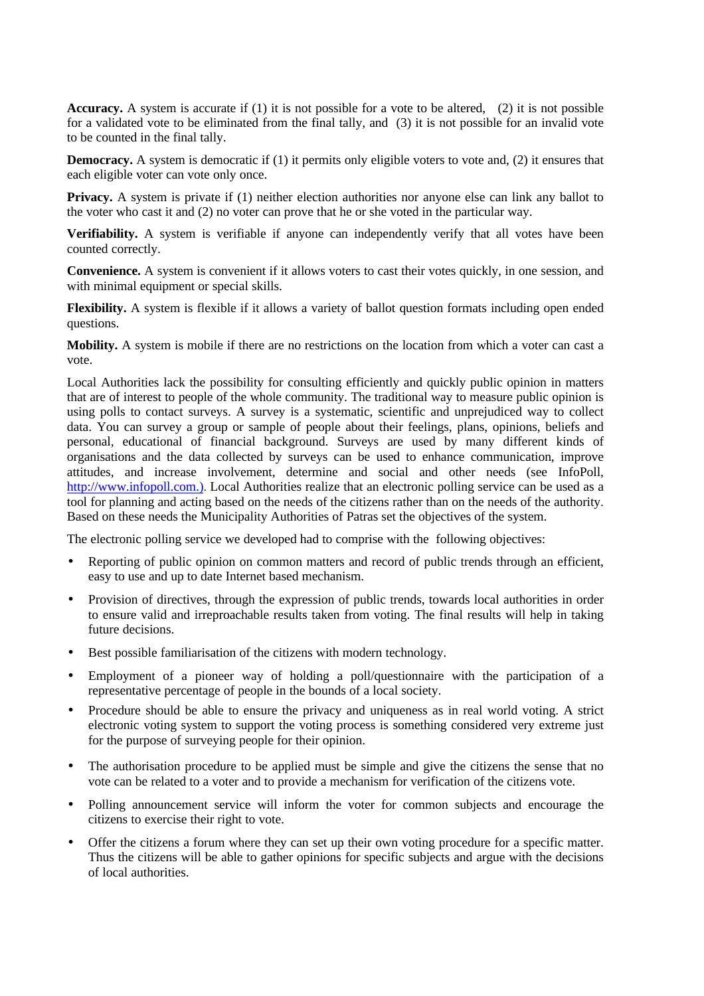**Accuracy.** A system is accurate if (1) it is not possible for a vote to be altered, (2) it is not possible for a validated vote to be eliminated from the final tally, and (3) it is not possible for an invalid vote to be counted in the final tally.

**Democracy.** A system is democratic if (1) it permits only eligible voters to vote and, (2) it ensures that each eligible voter can vote only once.

**Privacy.** A system is private if (1) neither election authorities nor anyone else can link any ballot to the voter who cast it and (2) no voter can prove that he or she voted in the particular way.

**Verifiability.** A system is verifiable if anyone can independently verify that all votes have been counted correctly.

**Convenience.** A system is convenient if it allows voters to cast their votes quickly, in one session, and with minimal equipment or special skills.

**Flexibility.** A system is flexible if it allows a variety of ballot question formats including open ended questions.

**Mobility.** A system is mobile if there are no restrictions on the location from which a voter can cast a vote.

Local Authorities lack the possibility for consulting efficiently and quickly public opinion in matters that are of interest to people of the whole community. The traditional way to measure public opinion is using polls to contact surveys. A survey is a systematic, scientific and unprejudiced way to collect data. You can survey a group or sample of people about their feelings, plans, opinions, beliefs and personal, educational of financial background. Surveys are used by many different kinds of organisations and the data collected by surveys can be used to enhance communication, improve attitudes, and increase involvement, determine and social and other needs (see InfoPoll, http://www.infopoll.com.). Local Authorities realize that an electronic polling service can be used as a tool for planning and acting based on the needs of the citizens rather than on the needs of the authority. Based on these needs the Municipality Authorities of Patras set the objectives of the system.

The electronic polling service we developed had to comprise with the following objectives:

- Reporting of public opinion on common matters and record of public trends through an efficient, easy to use and up to date Internet based mechanism.
- Provision of directives, through the expression of public trends, towards local authorities in order to ensure valid and irreproachable results taken from voting. The final results will help in taking future decisions.
- Best possible familiarisation of the citizens with modern technology.
- Employment of a pioneer way of holding a poll/questionnaire with the participation of a representative percentage of people in the bounds of a local society.
- Procedure should be able to ensure the privacy and uniqueness as in real world voting. A strict electronic voting system to support the voting process is something considered very extreme just for the purpose of surveying people for their opinion.
- The authorisation procedure to be applied must be simple and give the citizens the sense that no vote can be related to a voter and to provide a mechanism for verification of the citizens vote.
- Polling announcement service will inform the voter for common subjects and encourage the citizens to exercise their right to vote.
- Offer the citizens a forum where they can set up their own voting procedure for a specific matter. Thus the citizens will be able to gather opinions for specific subjects and argue with the decisions of local authorities.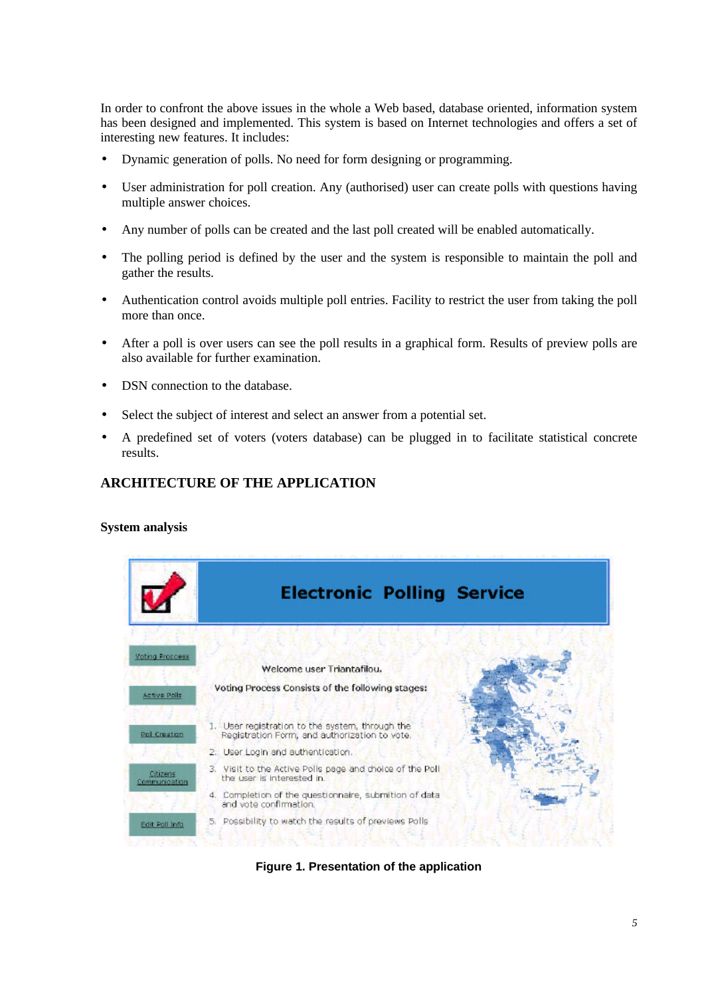In order to confront the above issues in the whole a Web based, database oriented, information system has been designed and implemented. This system is based on Internet technologies and offers a set of interesting new features. It includes:

- Dynamic generation of polls. No need for form designing or programming.
- User administration for poll creation. Any (authorised) user can create polls with questions having multiple answer choices.
- Any number of polls can be created and the last poll created will be enabled automatically.
- The polling period is defined by the user and the system is responsible to maintain the poll and gather the results.
- Authentication control avoids multiple poll entries. Facility to restrict the user from taking the poll more than once.
- After a poll is over users can see the poll results in a graphical form. Results of preview polls are also available for further examination.
- DSN connection to the database.
- Select the subject of interest and select an answer from a potential set.
- A predefined set of voters (voters database) can be plugged in to facilitate statistical concrete results.

# **ARCHITECTURE OF THE APPLICATION**

#### **System analysis**



**Figure 1. Presentation of the application**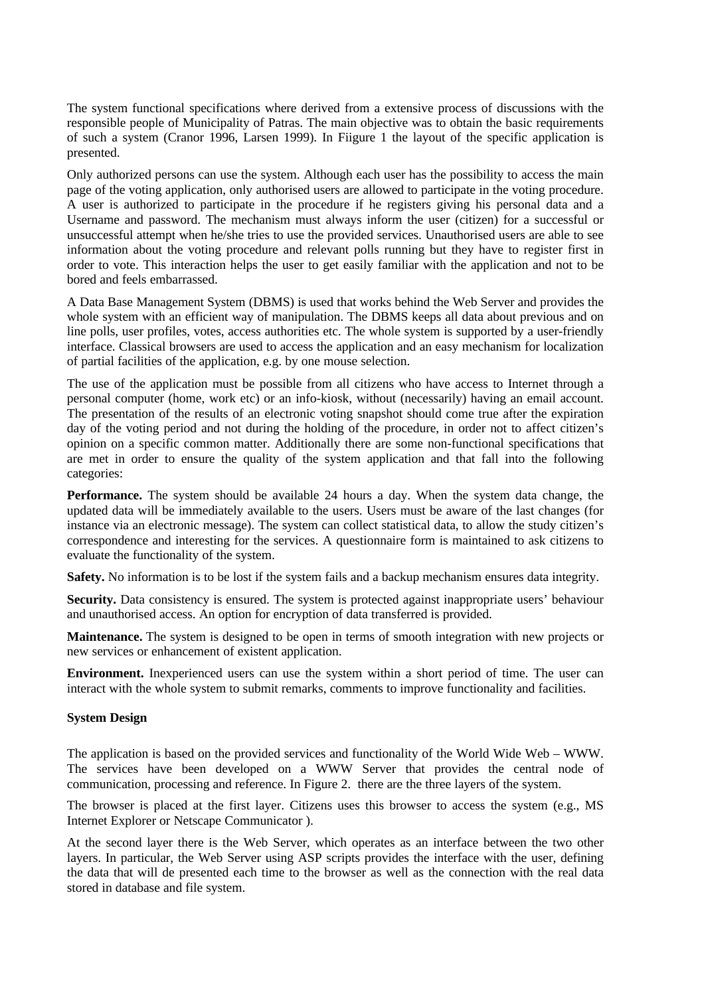The system functional specifications where derived from a extensive process of discussions with the responsible people of Municipality of Patras. The main objective was to obtain the basic requirements of such a system (Cranor 1996, Larsen 1999). In Fiigure 1 the layout of the specific application is presented.

Only authorized persons can use the system. Although each user has the possibility to access the main page of the voting application, only authorised users are allowed to participate in the voting procedure. A user is authorized to participate in the procedure if he registers giving his personal data and a Username and password. The mechanism must always inform the user (citizen) for a successful or unsuccessful attempt when he/she tries to use the provided services. Unauthorised users are able to see information about the voting procedure and relevant polls running but they have to register first in order to vote. This interaction helps the user to get easily familiar with the application and not to be bored and feels embarrassed.

A Data Base Management System (DBMS) is used that works behind the Web Server and provides the whole system with an efficient way of manipulation. The DBMS keeps all data about previous and on line polls, user profiles, votes, access authorities etc. The whole system is supported by a user-friendly interface. Classical browsers are used to access the application and an easy mechanism for localization of partial facilities of the application, e.g. by one mouse selection.

The use of the application must be possible from all citizens who have access to Internet through a personal computer (home, work etc) or an info-kiosk, without (necessarily) having an email account. The presentation of the results of an electronic voting snapshot should come true after the expiration day of the voting period and not during the holding of the procedure, in order not to affect citizen's opinion on a specific common matter. Additionally there are some non-functional specifications that are met in order to ensure the quality of the system application and that fall into the following categories:

**Performance.** The system should be available 24 hours a day. When the system data change, the updated data will be immediately available to the users. Users must be aware of the last changes (for instance via an electronic message). The system can collect statistical data, to allow the study citizen's correspondence and interesting for the services. A questionnaire form is maintained to ask citizens to evaluate the functionality of the system.

**Safety.** No information is to be lost if the system fails and a backup mechanism ensures data integrity.

**Security.** Data consistency is ensured. The system is protected against inappropriate users' behaviour and unauthorised access. An option for encryption of data transferred is provided.

**Maintenance.** The system is designed to be open in terms of smooth integration with new projects or new services or enhancement of existent application.

**Environment.** Inexperienced users can use the system within a short period of time. The user can interact with the whole system to submit remarks, comments to improve functionality and facilities.

## **System Design**

The application is based on the provided services and functionality of the World Wide Web – WWW. The services have been developed on a WWW Server that provides the central node of communication, processing and reference. In Figure 2. there are the three layers of the system.

The browser is placed at the first layer. Citizens uses this browser to access the system (e.g., MS Internet Explorer or Netscape Communicator ).

At the second layer there is the Web Server, which operates as an interface between the two other layers. In particular, the Web Server using ASP scripts provides the interface with the user, defining the data that will de presented each time to the browser as well as the connection with the real data stored in database and file system.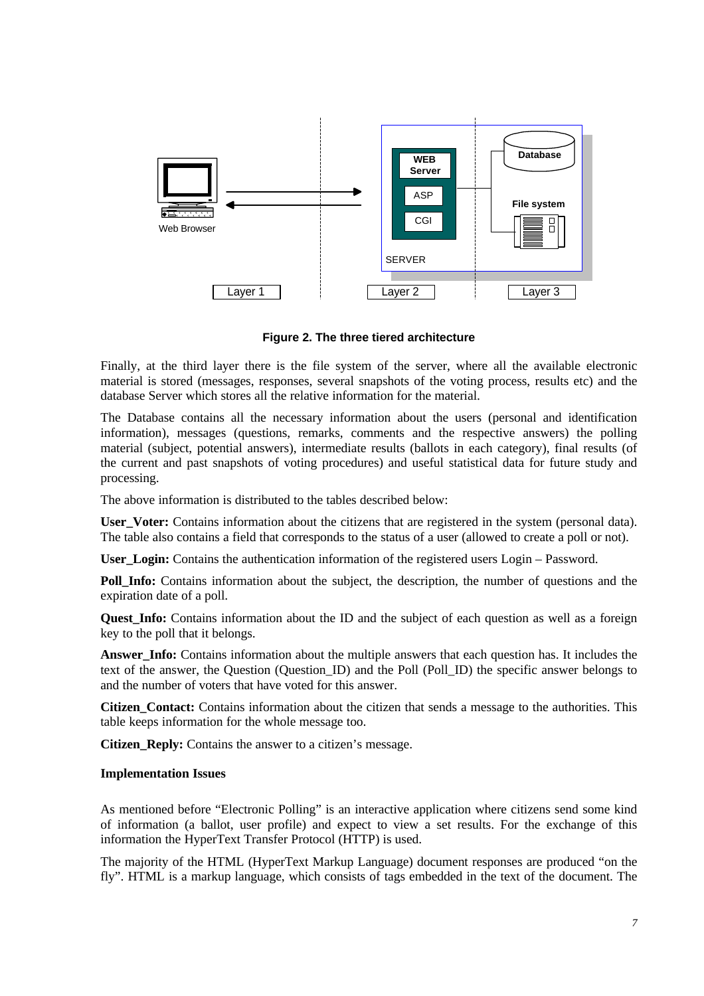

**Figure 2. The three tiered architecture**

Finally, at the third layer there is the file system of the server, where all the available electronic material is stored (messages, responses, several snapshots of the voting process, results etc) and the database Server which stores all the relative information for the material.

The Database contains all the necessary information about the users (personal and identification information), messages (questions, remarks, comments and the respective answers) the polling material (subject, potential answers), intermediate results (ballots in each category), final results (of the current and past snapshots of voting procedures) and useful statistical data for future study and processing.

The above information is distributed to the tables described below:

**User\_Voter:** Contains information about the citizens that are registered in the system (personal data). The table also contains a field that corresponds to the status of a user (allowed to create a poll or not).

**User\_Login:** Contains the authentication information of the registered users Login – Password.

**Poll Info:** Contains information about the subject, the description, the number of questions and the expiration date of a poll.

**Quest Info:** Contains information about the ID and the subject of each question as well as a foreign key to the poll that it belongs.

**Answer\_Info:** Contains information about the multiple answers that each question has. It includes the text of the answer, the Question (Question\_ID) and the Poll (Poll\_ID) the specific answer belongs to and the number of voters that have voted for this answer.

**Citizen** Contact: Contains information about the citizen that sends a message to the authorities. This table keeps information for the whole message too.

**Citizen Reply:** Contains the answer to a citizen's message.

#### **Implementation Issues**

As mentioned before "Electronic Polling" is an interactive application where citizens send some kind of information (a ballot, user profile) and expect to view a set results. For the exchange of this information the HyperText Transfer Protocol (HTTP) is used.

The majority of the HTML (HyperText Markup Language) document responses are produced "on the fly". HTML is a markup language, which consists of tags embedded in the text of the document. The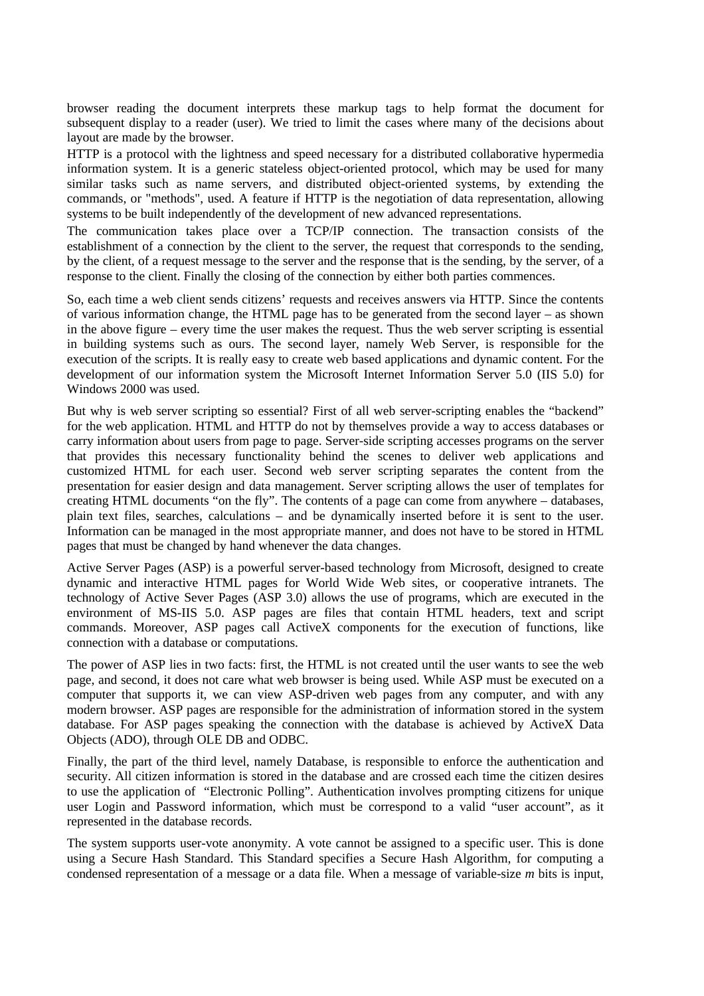browser reading the document interprets these markup tags to help format the document for subsequent display to a reader (user). We tried to limit the cases where many of the decisions about layout are made by the browser.

HTTP is a protocol with the lightness and speed necessary for a distributed collaborative hypermedia information system. It is a generic stateless object-oriented protocol, which may be used for many similar tasks such as name servers, and distributed object-oriented systems, by extending the commands, or "methods", used. A feature if HTTP is the negotiation of data representation, allowing systems to be built independently of the development of new advanced representations.

The communication takes place over a TCP/IP connection. The transaction consists of the establishment of a connection by the client to the server, the request that corresponds to the sending, by the client, of a request message to the server and the response that is the sending, by the server, of a response to the client. Finally the closing of the connection by either both parties commences.

So, each time a web client sends citizens' requests and receives answers via HTTP. Since the contents of various information change, the HTML page has to be generated from the second layer – as shown in the above figure – every time the user makes the request. Thus the web server scripting is essential in building systems such as ours. The second layer, namely Web Server, is responsible for the execution of the scripts. It is really easy to create web based applications and dynamic content. For the development of our information system the Microsoft Internet Information Server 5.0 (IIS 5.0) for Windows 2000 was used.

But why is web server scripting so essential? First of all web server-scripting enables the "backend" for the web application. HTML and HTTP do not by themselves provide a way to access databases or carry information about users from page to page. Server-side scripting accesses programs on the server that provides this necessary functionality behind the scenes to deliver web applications and customized HTML for each user. Second web server scripting separates the content from the presentation for easier design and data management. Server scripting allows the user of templates for creating HTML documents "on the fly". The contents of a page can come from anywhere – databases, plain text files, searches, calculations – and be dynamically inserted before it is sent to the user. Information can be managed in the most appropriate manner, and does not have to be stored in HTML pages that must be changed by hand whenever the data changes.

Active Server Pages (ASP) is a powerful server-based technology from Microsoft, designed to create dynamic and interactive HTML pages for World Wide Web sites, or cooperative intranets. The technology of Active Sever Pages (ASP 3.0) allows the use of programs, which are executed in the environment of MS-IIS 5.0. ASP pages are files that contain HTML headers, text and script commands. Moreover, ASP pages call ActiveX components for the execution of functions, like connection with a database or computations.

The power of ASP lies in two facts: first, the HTML is not created until the user wants to see the web page, and second, it does not care what web browser is being used. While ASP must be executed on a computer that supports it, we can view ASP-driven web pages from any computer, and with any modern browser. ASP pages are responsible for the administration of information stored in the system database. For ASP pages speaking the connection with the database is achieved by ActiveX Data Objects (ADO), through OLE DB and ODBC.

Finally, the part of the third level, namely Database, is responsible to enforce the authentication and security. All citizen information is stored in the database and are crossed each time the citizen desires to use the application of "Electronic Polling". Authentication involves prompting citizens for unique user Login and Password information, which must be correspond to a valid "user account", as it represented in the database records.

The system supports user-vote anonymity. A vote cannot be assigned to a specific user. This is done using a Secure Hash Standard. This Standard specifies a Secure Hash Algorithm, for computing a condensed representation of a message or a data file. When a message of variable-size *m* bits is input,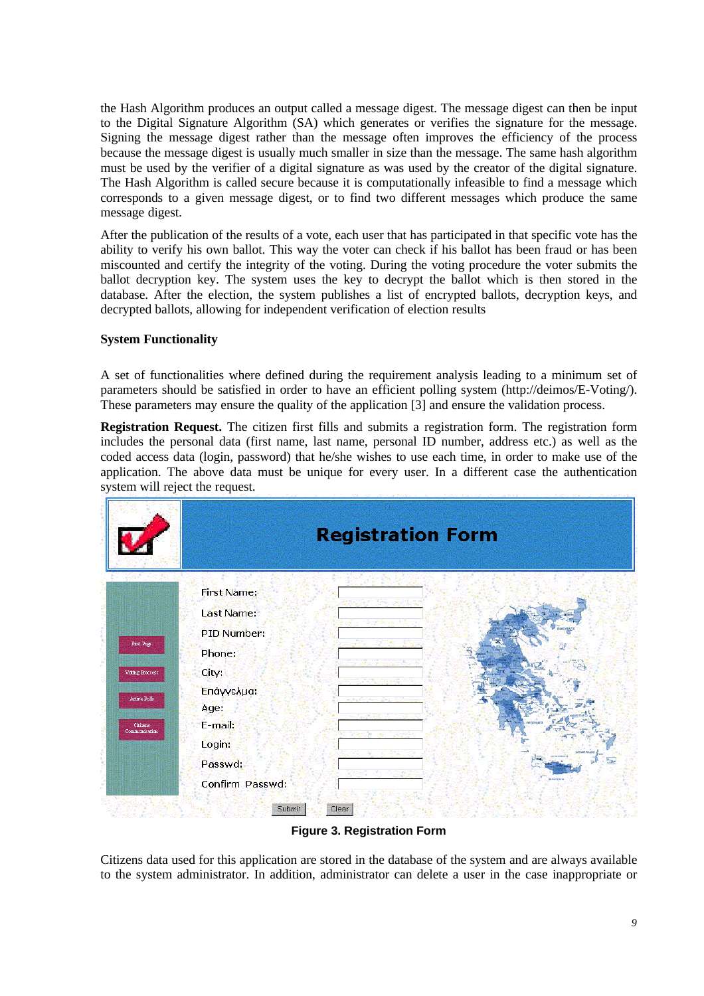the Hash Algorithm produces an output called a message digest. The message digest can then be input to the Digital Signature Algorithm (SA) which generates or verifies the signature for the message. Signing the message digest rather than the message often improves the efficiency of the process because the message digest is usually much smaller in size than the message. The same hash algorithm must be used by the verifier of a digital signature as was used by the creator of the digital signature. The Hash Algorithm is called secure because it is computationally infeasible to find a message which corresponds to a given message digest, or to find two different messages which produce the same message digest.

After the publication of the results of a vote, each user that has participated in that specific vote has the ability to verify his own ballot. This way the voter can check if his ballot has been fraud or has been miscounted and certify the integrity of the voting. During the voting procedure the voter submits the ballot decryption key. The system uses the key to decrypt the ballot which is then stored in the database. After the election, the system publishes a list of encrypted ballots, decryption keys, and decrypted ballots, allowing for independent verification of election results

### **System Functionality**

A set of functionalities where defined during the requirement analysis leading to a minimum set of parameters should be satisfied in order to have an efficient polling system (http://deimos/E-Voting/). These parameters may ensure the quality of the application [3] and ensure the validation process.

**Registration Request.** The citizen first fills and submits a registration form. The registration form includes the personal data (first name, last name, personal ID number, address etc.) as well as the coded access data (login, password) that he/she wishes to use each time, in order to make use of the application. The above data must be unique for every user. In a different case the authentication system will reject the request.



**Figure 3. Registration Form**

Citizens data used for this application are stored in the database of the system and are always available to the system administrator. In addition, administrator can delete a user in the case inappropriate or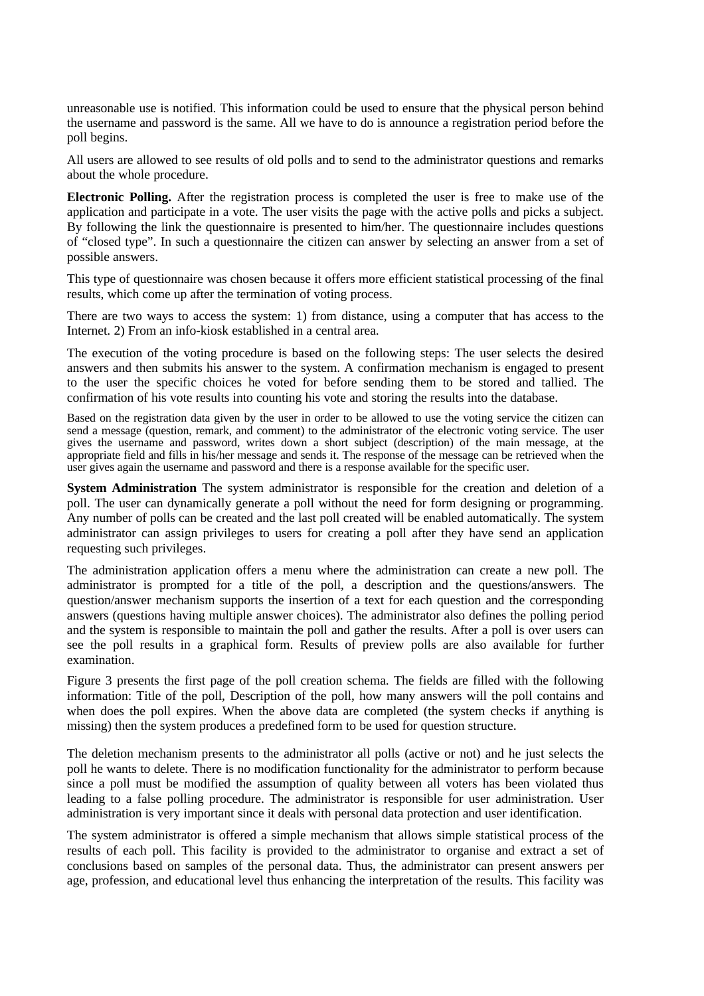unreasonable use is notified. This information could be used to ensure that the physical person behind the username and password is the same. All we have to do is announce a registration period before the poll begins.

All users are allowed to see results of old polls and to send to the administrator questions and remarks about the whole procedure.

**Electronic Polling.** After the registration process is completed the user is free to make use of the application and participate in a vote. The user visits the page with the active polls and picks a subject. By following the link the questionnaire is presented to him/her. The questionnaire includes questions of "closed type". In such a questionnaire the citizen can answer by selecting an answer from a set of possible answers.

This type of questionnaire was chosen because it offers more efficient statistical processing of the final results, which come up after the termination of voting process.

There are two ways to access the system: 1) from distance, using a computer that has access to the Internet. 2) From an info-kiosk established in a central area.

The execution of the voting procedure is based on the following steps: The user selects the desired answers and then submits his answer to the system. A confirmation mechanism is engaged to present to the user the specific choices he voted for before sending them to be stored and tallied. The confirmation of his vote results into counting his vote and storing the results into the database.

Based on the registration data given by the user in order to be allowed to use the voting service the citizen can send a message (question, remark, and comment) to the administrator of the electronic voting service. The user gives the username and password, writes down a short subject (description) of the main message, at the appropriate field and fills in his/her message and sends it. The response of the message can be retrieved when the user gives again the username and password and there is a response available for the specific user.

**System Administration** The system administrator is responsible for the creation and deletion of a poll. The user can dynamically generate a poll without the need for form designing or programming. Any number of polls can be created and the last poll created will be enabled automatically. The system administrator can assign privileges to users for creating a poll after they have send an application requesting such privileges.

The administration application offers a menu where the administration can create a new poll. The administrator is prompted for a title of the poll, a description and the questions/answers. The question/answer mechanism supports the insertion of a text for each question and the corresponding answers (questions having multiple answer choices). The administrator also defines the polling period and the system is responsible to maintain the poll and gather the results. After a poll is over users can see the poll results in a graphical form. Results of preview polls are also available for further examination.

Figure 3 presents the first page of the poll creation schema. The fields are filled with the following information: Title of the poll, Description of the poll, how many answers will the poll contains and when does the poll expires. When the above data are completed (the system checks if anything is missing) then the system produces a predefined form to be used for question structure.

The deletion mechanism presents to the administrator all polls (active or not) and he just selects the poll he wants to delete. There is no modification functionality for the administrator to perform because since a poll must be modified the assumption of quality between all voters has been violated thus leading to a false polling procedure. The administrator is responsible for user administration. User administration is very important since it deals with personal data protection and user identification.

The system administrator is offered a simple mechanism that allows simple statistical process of the results of each poll. This facility is provided to the administrator to organise and extract a set of conclusions based on samples of the personal data. Thus, the administrator can present answers per age, profession, and educational level thus enhancing the interpretation of the results. This facility was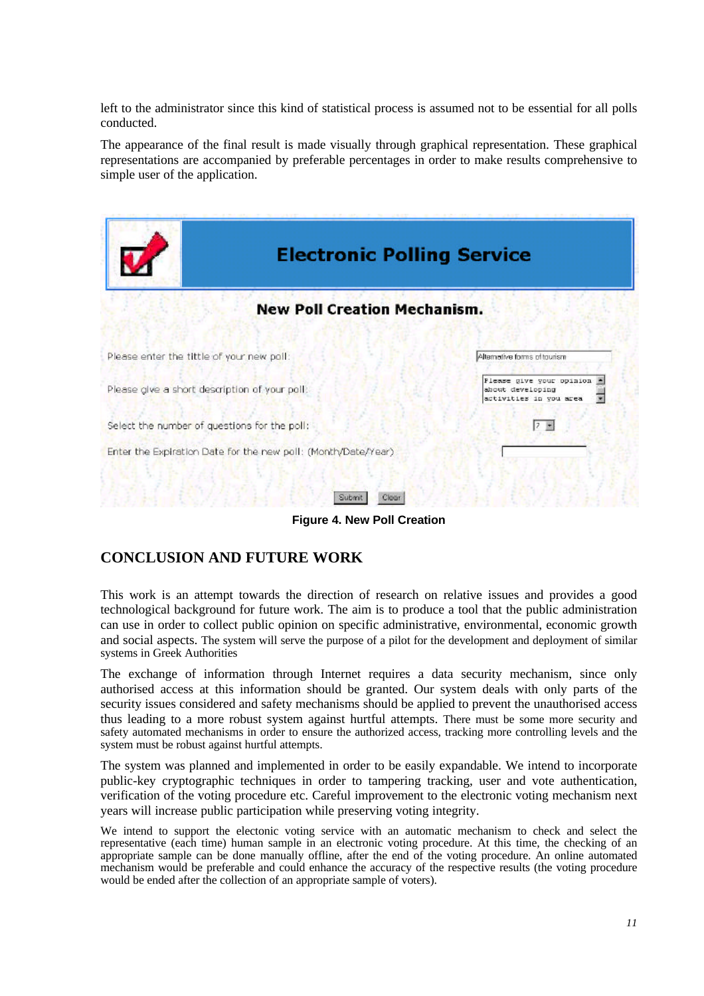left to the administrator since this kind of statistical process is assumed not to be essential for all polls conducted.

The appearance of the final result is made visually through graphical representation. These graphical representations are accompanied by preferable percentages in order to make results comprehensive to simple user of the application.

|                                               | <b>Electronic Polling Service</b>   |                                                                          |
|-----------------------------------------------|-------------------------------------|--------------------------------------------------------------------------|
|                                               | <b>New Poll Creation Mechanism.</b> |                                                                          |
| Please enter the tittle of your new poll:     |                                     | Alternative forms of tourism                                             |
| Please give a short description of your poll: |                                     | Please give your opinion A<br>about developing<br>activities in you area |
| Select the number of questions for the poll:  |                                     |                                                                          |
|                                               |                                     |                                                                          |

**Figure 4. New Poll Creation**

# **CONCLUSION AND FUTURE WORK**

This work is an attempt towards the direction of research on relative issues and provides a good technological background for future work. The aim is to produce a tool that the public administration can use in order to collect public opinion on specific administrative, environmental, economic growth and social aspects. The system will serve the purpose of a pilot for the development and deployment of similar systems in Greek Authorities

The exchange of information through Internet requires a data security mechanism, since only authorised access at this information should be granted. Our system deals with only parts of the security issues considered and safety mechanisms should be applied to prevent the unauthorised access thus leading to a more robust system against hurtful attempts. There must be some more security and safety automated mechanisms in order to ensure the authorized access, tracking more controlling levels and the system must be robust against hurtful attempts.

The system was planned and implemented in order to be easily expandable. We intend to incorporate public-key cryptographic techniques in order to tampering tracking, user and vote authentication, verification of the voting procedure etc. Careful improvement to the electronic voting mechanism next years will increase public participation while preserving voting integrity.

We intend to support the electonic voting service with an automatic mechanism to check and select the representative (each time) human sample in an electronic voting procedure. At this time, the checking of an appropriate sample can be done manually offline, after the end of the voting procedure. An online automated mechanism would be preferable and could enhance the accuracy of the respective results (the voting procedure would be ended after the collection of an appropriate sample of voters).